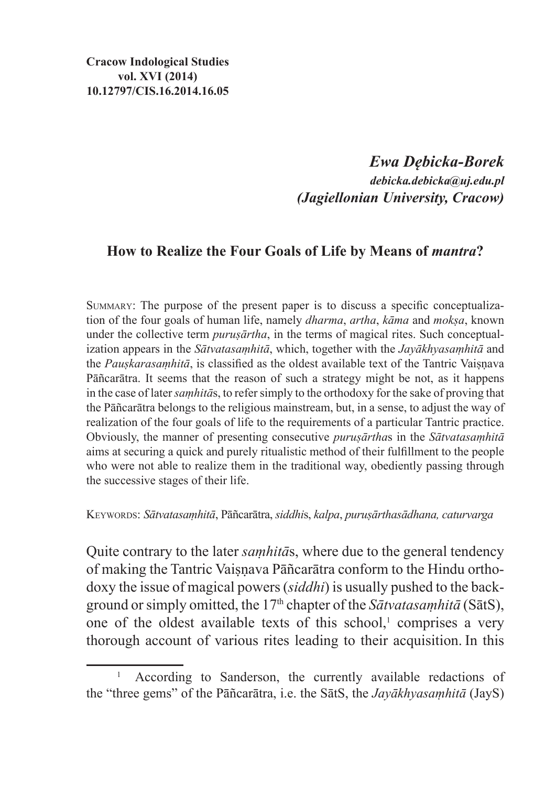# *Ewa Dębicka-Borek debicka.debicka@uj.edu.pl (Jagiellonian University, Cracow)*

## **How to Realize the Four Goals of Life by Means of** *mantra***?**

Summary: The purpose of the present paper is to discuss a specific conceptualization of the four goals of human life, namely *dharma*, *artha*, *kāma* and *mokṣa*, known under the collective term *puruṣārtha*, in the terms of magical rites. Such conceptualization appears in the *Sātvatasaṃhitā*, which, together with the *Jayākhyasaṃhitā* and the *Pauskarasamhitā*, is classified as the oldest available text of the Tantric Vaisnava Pāñcarātra. It seems that the reason of such a strategy might be not, as it happens in the case of later *saṃhitā*s, to refer simply to the orthodoxy for the sake of proving that the Pāñcarātra belongs to the religious mainstream, but, in a sense, to adjust the way of realization of the four goals of life to the requirements of a particular Tantric practice. Obviously, the manner of presenting consecutive *puruṣārtha*s in the *Sātvatasaṃhitā*  aims at securing a quick and purely ritualistic method of their fulfillment to the people who were not able to realize them in the traditional way, obediently passing through the successive stages of their life.

Keywords: *Sātvatasaṃhitā*, Pāñcarātra, *siddhi*s, *kalpa*, *puruṣārthasādhana, caturvarga*

Quite contrary to the later *saṃhitā*s, where due to the general tendency of making the Tantric Vaisnava Pāñcarātra conform to the Hindu orthodoxy the issue of magical powers (*siddhi*) is usually pushed to the background or simply omitted, the 17th chapter of the *Sātvatasaṃhitā* (SātS), one of the oldest available texts of this school, $\alpha$  comprises a very thorough account of various rites leading to their acquisition. In this

<sup>&</sup>lt;sup>1</sup> According to Sanderson, the currently available redactions of the "three gems" of the Pāñcarātra, i.e. the SātS, the *Jayākhyasaṃhitā* (JayS)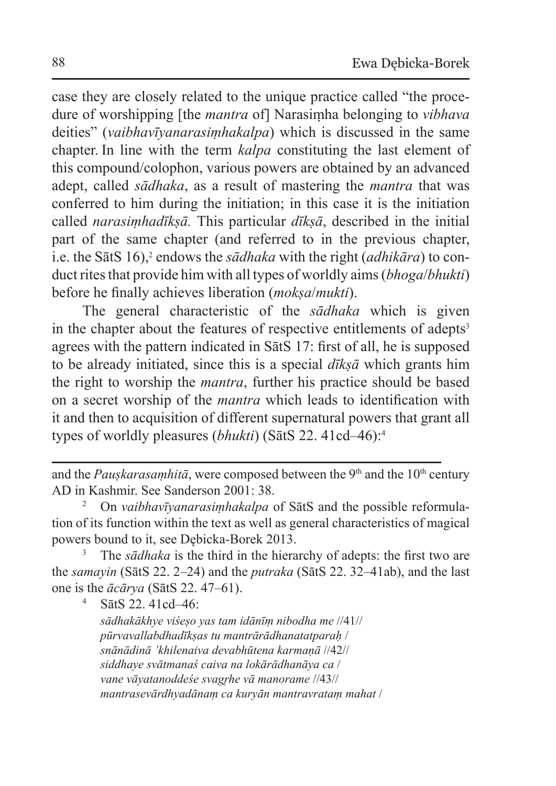case they are closely related to the unique practice called "the procedure of worshipping [the *mantra* of] Narasiṃha belonging to *vibhava* deities" (*vaibhavīyanarasiṃhakalpa*) which is discussed in the same chapter. In line with the term *kalpa* constituting the last element of this compound/colophon, various powers are obtained by an advanced adept, called *sādhaka*, as a result of mastering the *mantra* that was conferred to him during the initiation; in this case it is the initiation called *narasiṃhadīkṣā.* This particular *dīkṣā*, described in the initial part of the same chapter (and referred to in the previous chapter, i.e. the SatS 16),<sup>2</sup> endows the *sadhaka* with the right (*adhikara*) to conduct rites that provide him with all types of worldly aims (*bhoga*/*bhukti*) before he finally achieves liberation (*mokṣa*/*mukti*).

The general characteristic of the *sādhaka* which is given in the chapter about the features of respective entitlements of adepts<sup>3</sup> agrees with the pattern indicated in SātS 17: first of all, he is supposed to be already initiated, since this is a special *dīkṣā* which grants him the right to worship the *mantra*, further his practice should be based on a secret worship of the *mantra* which leads to identification with it and then to acquisition of different supernatural powers that grant all types of worldly pleasures (*bhukti*) (SātS 22. 41cd–46):4

<sup>3</sup> The *sādhaka* is the third in the hierarchy of adepts: the first two are the *samayin* (SātS 22. 2–24) and the *putraka* (SātS 22. 32–41ab), and the last one is the *ācārya* (SātS 22. 47–61).

<sup>4</sup> SātS 22. 41cd–46:

*sādhakākhye viśeṣo yas tam idānīṃ nibodha me* //41// *pūrvavallabdhadīkṣas tu mantrārādhanatatparaḥ* / *snānādinā 'khilenaiva devabhūtena karmaṇā* //42// *siddhaye svātmanaś caiva na lokārādhanāya ca* / *vane vāyatanoddeśe svagr̥he vā manorame* //43// *mantrasevārdhyadānaṃ ca kuryān mantravrataṃ mahat* /

and the *Pauskarasamhitā*, were composed between the 9<sup>th</sup> and the  $10<sup>th</sup>$  century AD in Kashmir. See Sanderson 2001: 38.

<sup>&</sup>lt;sup>2</sup> On *vaibhavīvanarasimhakalpa* of SātS and the possible reformulation of its function within the text as well as general characteristics of magical powers bound to it, see Dębicka-Borek 2013.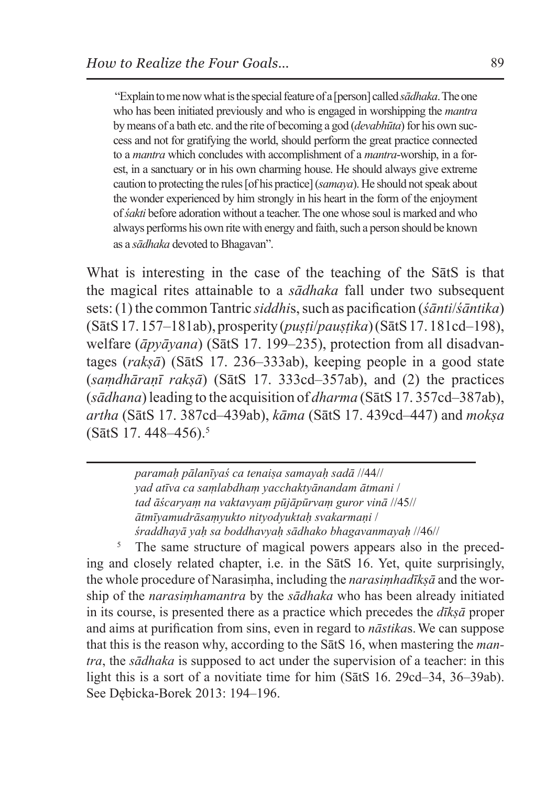"Explain tome now what isthe special feature of a [person] called *sādhaka*. Theone who has been initiated previously and who is engaged in worshipping the *mantra*  by means of a bath etc. and the rite of becoming a god (*devabhūta*) for his own success and not for gratifying the world, should perform the great practice connected to a *mantra* which concludes with accomplishment of a *mantra*-worship, in a forest, in a sanctuary or in his own charming house. He should always give extreme caution to protecting the rules [of his practice] (*samaya*). He should not speak about the wonder experienced by him strongly in his heart in the form of the enjoyment of *śakti* before adoration without a teacher. The one whose soul is marked and who always performs his own rite with energy and faith, such a person should be known as a *sādhaka* devoted to Bhagavan".

What is interesting in the case of the teaching of the SātS is that the magical rites attainable to a *sādhaka* fall under two subsequent sets:(1) the common Tantric *siddhi*s, such as pacification (*śānti*/*śāntika*) (SātS 17. 157–181ab), prosperity (*puṣṭi*/*pauṣṭika*) (SātS 17. 181cd–198), welfare (*āpyāyana*) (SātS 17. 199–235), protection from all disadvantages (*rakṣā*) (SātS 17. 236–333ab), keeping people in a good state (*saṃdhāraṇī rakṣā*) (SātS 17. 333cd–357ab), and (2) the practices (*sādhana*) leading to the acquisition of *dharma* (SātS 17. 357cd–387ab), *artha* (SātS 17. 387cd–439ab), *kāma* (SātS 17. 439cd–447) and *mokṣa* (SātS 17. 448–456).5

> *paramaḥ pālanīyaś ca tenaiṣa samayaḥ sadā* //44// *yad atīva ca saṃlabdhaṃ yacchaktyānandam ātmani* / *tad āścaryaṃ na vaktavyaṃ pūjāpūrvaṃ guror vinā* //45// *ātmīyamudrāsaṃyukto nityodyuktaḥ svakarmaṇi* / *śraddhayā yaḥ sa boddhavyaḥ sādhako bhagavanmayaḥ* //46//

<sup>5</sup> The same structure of magical powers appears also in the preceding and closely related chapter, i.e. in the SātS 16. Yet, quite surprisingly, the whole procedure of Narasiṃha, including the *narasiṃhadīkṣā* and the worship of the *narasiṃhamantra* by the *sādhaka* who has been already initiated in its course, is presented there as a practice which precedes the *dīkṣā* proper and aims at purification from sins, even in regard to *nāstika*s.We can suppose that this is the reason why, according to the SātS 16, when mastering the *mantra*, the *sādhaka* is supposed to act under the supervision of a teacher: in this light this is a sort of a novitiate time for him (SātS 16. 29cd–34, 36–39ab). See Dębicka-Borek 2013: 194–196.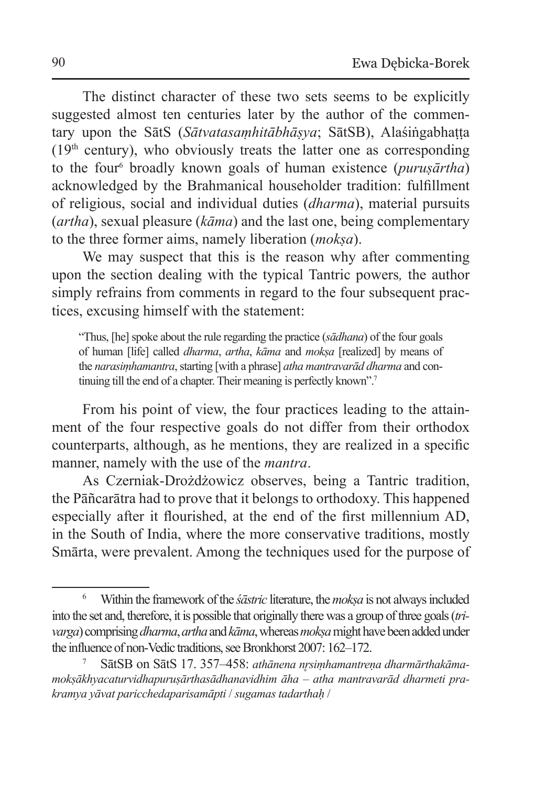The distinct character of these two sets seems to be explicitly suggested almost ten centuries later by the author of the commentary upon the SātS (*Sātvatasaṃhitābhāṣya*; SātSB), Alaśiṅgabhaṭṭa  $(19<sup>th</sup> century)$ , who obviously treats the latter one as corresponding to the four6 broadly known goals of human existence (*puruṣārtha*) acknowledged by the Brahmanical householder tradition: fulfillment of religious, social and individual duties (*dharma*), material pursuits (*artha*), sexual pleasure (*kāma*) and the last one, being complementary to the three former aims, namely liberation (*mokṣa*).

We may suspect that this is the reason why after commenting upon the section dealing with the typical Tantric powers*,* the author simply refrains from comments in regard to the four subsequent practices, excusing himself with the statement:

"Thus, [he] spoke about the rule regarding the practice (*sādhana*) of the four goals of human [life] called *dharma*, *artha*, *kāma* and *mokṣa* [realized] by means of the *narasiṃhamantra*, starting [with a phrase] *atha mantravarād dharma* and continuing till the end of a chapter. Their meaning is perfectly known".<sup>7</sup>

From his point of view, the four practices leading to the attainment of the four respective goals do not differ from their orthodox counterparts, although, as he mentions, they are realized in a specific manner, namely with the use of the *mantra*.

As Czerniak-Drożdżowicz observes, being a Tantric tradition, the Pāñcarātra had to prove that it belongs to orthodoxy. This happened especially after it flourished, at the end of the first millennium AD, in the South of India, where the more conservative traditions, mostly Smārta, were prevalent. Among the techniques used for the purpose of

<sup>6</sup> Within the framework of the *śāstric* literature, the*mokṣa* is not always included into the set and, therefore, it is possible that originally there was a group of three goals (*trivarga*) comprising *dharma*, *artha* and *kāma*, whereas *mokṣa* might have been added under the influence of non-Vedic traditions, see Bronkhorst 2007: 162–172.

SātSB on SātS 17. 357-458: *athānena nrsimhamantreņa dharmārthakāmamokṣākhyacaturvidhapuruṣārthasādhanavidhim āha* – *atha mantravarād dharmeti prakramya yāvat paricchedaparisamāpti* / *sugamas tadarthaḥ* /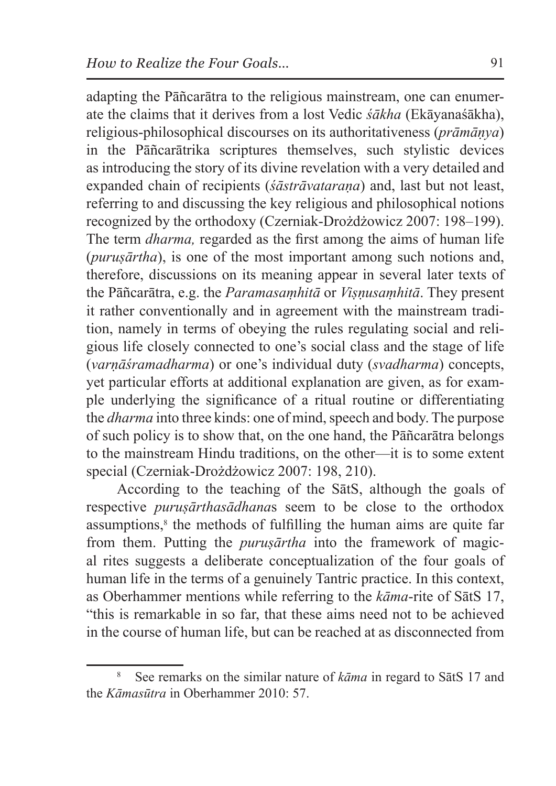adapting the Pāñcarātra to the religious mainstream, one can enumerate the claims that it derives from a lost Vedic *śākha* (Ekāyanaśākha), religious-philosophical discourses on its authoritativeness (*prāmāṇya*) in the Pāñcarātrika scriptures themselves, such stylistic devices as introducing the story of its divine revelation with a very detailed and expanded chain of recipients (*śāstrāvataraṇa*) and, last but not least, referring to and discussing the key religious and philosophical notions recognized by the orthodoxy (Czerniak-Drożdżowicz 2007: 198–199). The term *dharma,* regarded as the first among the aims of human life (*puruṣārtha*), is one of the most important among such notions and, therefore, discussions on its meaning appear in several later texts of the Pāñcarātra, e.g. the *Paramasaṃhitā* or *Viṣṇusaṃhitā*. They present it rather conventionally and in agreement with the mainstream tradition, namely in terms of obeying the rules regulating social and religious life closely connected to one's social class and the stage of life (*varṇāśramadharma*) or one's individual duty (*svadharma*) concepts, yet particular efforts at additional explanation are given, as for example underlying the significance of a ritual routine or differentiating the *dharma* into three kinds: one of mind, speech and body. The purpose of such policy is to show that, on the one hand, the Pāñcarātra belongs to the mainstream Hindu traditions, on the other—it is to some extent special (Czerniak-Drożdżowicz 2007: 198, 210).

According to the teaching of the SātS, although the goals of respective *puruṣārthasādhana*s seem to be close to the orthodox assumptions,<sup>8</sup> the methods of fulfilling the human aims are quite far from them. Putting the *puruṣārtha* into the framework of magical rites suggests a deliberate conceptualization of the four goals of human life in the terms of a genuinely Tantric practice. In this context, as Oberhammer mentions while referring to the *kāma*-rite of SātS 17, "this is remarkable in so far, that these aims need not to be achieved in the course of human life, but can be reached at as disconnected from

<sup>8</sup> See remarks on the similar nature of *kāma* in regard to SātS 17 and the *Kāmasūtra* in Oberhammer 2010: 57.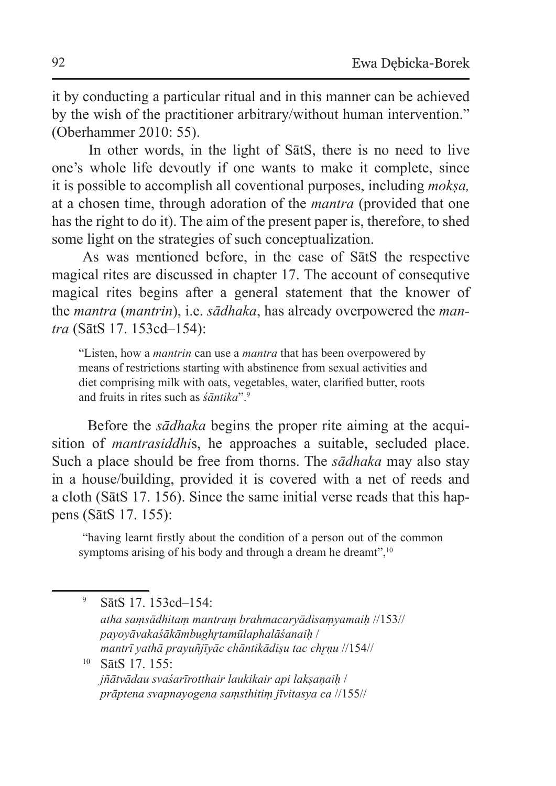it by conducting a particular ritual and in this manner can be achieved by the wish of the practitioner arbitrary/without human intervention." (Oberhammer 2010: 55).

 In other words, in the light of SātS, there is no need to live one's whole life devoutly if one wants to make it complete, since it is possible to accomplish all coventional purposes, including *mokṣa,* at a chosen time, through adoration of the *mantra* (provided that one has the right to do it). The aim of the present paper is, therefore, to shed some light on the strategies of such conceptualization.

As was mentioned before, in the case of SātS the respective magical rites are discussed in chapter 17. The account of consequtive magical rites begins after a general statement that the knower of the *mantra* (*mantrin*), i.e. *sādhaka*, has already overpowered the *mantra* (SātS 17. 153cd–154):

"Listen, how a *mantrin* can use a *mantra* that has been overpowered by means of restrictions starting with abstinence from sexual activities and diet comprising milk with oats, vegetables, water, clarified butter, roots and fruits in rites such as *śāntika*".9

Before the *sādhaka* begins the proper rite aiming at the acquisition of *mantrasiddhi*s, he approaches a suitable, secluded place. Such a place should be free from thorns. The *sādhaka* may also stay in a house/building, provided it is covered with a net of reeds and a cloth (SātS 17. 156). Since the same initial verse reads that this happens (SātS 17. 155):

 "having learnt firstly about the condition of a person out of the common symptoms arising of his body and through a dream he dreamt",<sup>10</sup>

<sup>9</sup> SātS 17. 153cd–154: *atha saṃsādhitaṃ mantraṃ brahmacaryādisaṃyamaiḥ* //153// *payoyāvakaśākāmbughr̥tamūlaphalāśanaiḥ* / *mantrī yathā prayuñjīyāc chāntikādiṣu tac chr̥ṇu* //154// <sup>10</sup> SātS 17. 155: *jñātvādau svaśarīrotthair laukikair api lakṣaṇaiḥ* / *prāptena svapnayogena saṃsthitiṃ jīvitasya ca* //155//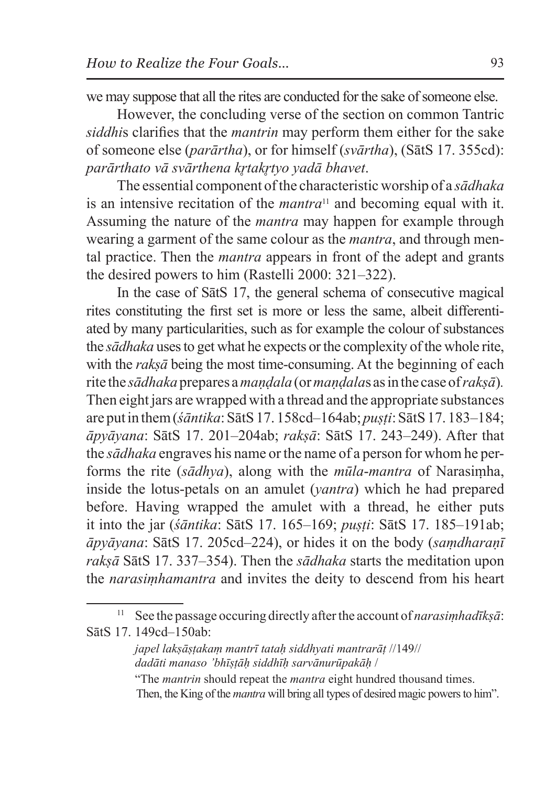we may suppose that all the rites are conducted for the sake of someone else.

However, the concluding verse of the section on common Tantric *siddhi*s clarifies that the *mantrin* may perform them either for the sake of someone else (*parārtha*), or for himself (*svārtha*), (SātS 17. 355cd): *parārthato vā svārthena kr̥takr̥tyo yadā bhavet*.

The essential component of the characteristic worship of a *sādhaka* is an intensive recitation of the *mantra*11 and becoming equal with it. Assuming the nature of the *mantra* may happen for example through wearing a garment of the same colour as the *mantra*, and through mental practice. Then the *mantra* appears in front of the adept and grants the desired powers to him (Rastelli 2000: 321–322).

In the case of SātS 17, the general schema of consecutive magical rites constituting the first set is more or less the same, albeit differentiated by many particularities, such as for example the colour of substances the *sādhaka* uses to get what he expects or the complexity of the whole rite, with the *rakṣā* being the most time-consuming. At the beginning of each rite the *sādhaka* prepares a*maṇḍala* (or *maṇḍala*s asin the case of *rakṣā*)*.*  Then eight jars are wrapped with a thread and the appropriate substances are put in them (*śāntika*:SātS 17. 158cd–164ab; *puṣṭi*:SātS 17. 183–184; *āpyāyana*: SātS 17. 201–204ab; *rakṣā*: SātS 17. 243–249). After that the *sādhaka* engraves his name or the name of a person for whom he performs the rite (*sādhya*), along with the *mūla*-*mantra* of Narasiṃha, inside the lotus-petals on an amulet (*yantra*) which he had prepared before. Having wrapped the amulet with a thread, he either puts it into the jar (*śāntika*: SātS 17. 165–169; *puṣṭi*: SātS 17. 185–191ab; *āpyāyana*: SātS 17. 205cd–224), or hides it on the body (*saṃdharaṇī rakṣā* SātS 17. 337–354). Then the *sādhaka* starts the meditation upon the *narasiṃhamantra* and invites the deity to descend from his heart

<sup>11</sup> See the passage occuring directly after the account of *narasiṃhadīkṣā*: SātS 17. 149cd–150ab:

*japel lakṣāṣṭakaṃ mantrī tataḥ siddhyati mantrarāṭ* //149// *dadāti manaso 'bhīṣṭāḥ siddhīḥ sarvānurūpakāḥ* /

<sup>&</sup>quot;The *mantrin* should repeat the *mantra* eight hundred thousand times. Then, the King of the *mantra* will bring all types of desired magic powers to him".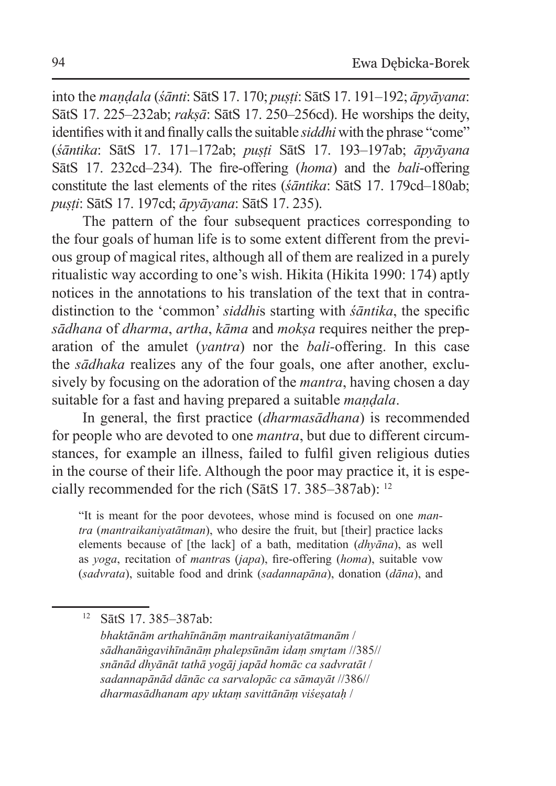into the *maṇḍala* (*śānti*: SātS 17. 170; *puṣṭi*: SātS 17. 191–192; *āpyāyana*: SātS 17. 225–232ab; *rakṣā*: SātS 17. 250–256cd). He worships the deity, identifies with it and finally calls the suitable *siddhi* with the phrase "come" (*śāntika*: SātS 17. 171–172ab; *puṣṭi* SātS 17. 193–197ab; *āpyāyana* SātS 17. 232cd–234). The fire-offering (*homa*) and the *bali*-offering constitute the last elements of the rites (*śāntika*: SātS 17. 179cd–180ab; *puṣṭi*: SātS 17. 197cd; *āpyāyana*: SātS 17. 235).

The pattern of the four subsequent practices corresponding to the four goals of human life is to some extent different from the previous group of magical rites, although all of them are realized in a purely ritualistic way according to one's wish. Hikita (Hikita 1990: 174) aptly notices in the annotations to his translation of the text that in contradistinction to the 'common' *siddhi*s starting with *śāntika*, the specific *sādhana* of *dharma*, *artha*, *kāma* and *mokṣa* requires neither the preparation of the amulet (*yantra*) nor the *bali-*offering. In this case the *sādhaka* realizes any of the four goals, one after another, exclusively by focusing on the adoration of the *mantra*, having chosen a day suitable for a fast and having prepared a suitable *maṇḍala*.

In general, the first practice (*dharmasādhana*) is recommended for people who are devoted to one *mantra*, but due to different circumstances, for example an illness, failed to fulfil given religious duties in the course of their life. Although the poor may practice it, it is especially recommended for the rich (SātS 17. 385–387ab): 12

"It is meant for the poor devotees, whose mind is focused on one *mantra* (*mantraikaniyatātman*), who desire the fruit, but [their] practice lacks elements because of [the lack] of a bath, meditation (*dhyāna*), as well as *yoga*, recitation of *mantra*s (*japa*), fire-offering (*homa*), suitable vow (*sadvrata*), suitable food and drink (*sadannapāna*), donation (*dāna*), and

<sup>12</sup> SātS 17. 385–387ab:

*bhaktānām arthahīnānāṃ mantraikaniyatātmanām* / *sādhanāṅgavihīnānāṃ phalepsūnām idaṃ smr̥tam* //385// *snānād dhyānāt tathā yogāj japād homāc ca sadvratāt* / *sadannapānād dānāc ca sarvalopāc ca sāmayāt* //386// *dharmasādhanam apy uktaṃ savittānāṃ viśeṣataḥ* /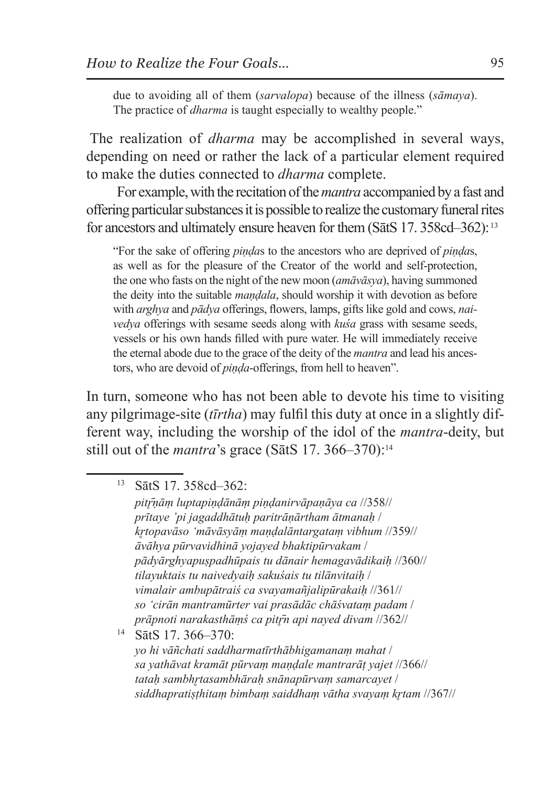due to avoiding all of them (*sarvalopa*) because of the illness (*sāmaya*). The practice of *dharma* is taught especially to wealthy people."

The realization of *dharma* may be accomplished in several ways, depending on need or rather the lack of a particular element required to make the duties connected to *dharma* complete.

For example, with the recitation of the*mantra* accompanied by a fast and offering particular substances it is possible to realize the customary funeral rites for ancestors and ultimately ensure heaven for them (SatS 17. 358cd–362):<sup>13</sup>

"For the sake of offering *piṇḍa*s to the ancestors who are deprived of *piṇḍa*s, as well as for the pleasure of the Creator of the world and self-protection, the one who fasts on the night of the new moon (*amāvāsya*), having summoned the deity into the suitable *maṇḍala*, should worship it with devotion as before with *arghya* and *pādya* offerings, flowers, lamps, gifts like gold and cows, *naivedya* offerings with sesame seeds along with *kuśa* grass with sesame seeds, vessels or his own hands filled with pure water. He will immediately receive the eternal abode due to the grace of the deity of the *mantra* and lead his ancestors, who are devoid of *piṇḍa*-offerings, from hell to heaven".

In turn, someone who has not been able to devote his time to visiting any pilgrimage-site (*tīrtha*) may fulfil this duty at once in a slightly different way, including the worship of the idol of the *mantra*-deity, but still out of the *mantra*'s grace (SātS 17. 366–370): 14

<sup>13</sup> SātS 17. 358cd–362:

*pitr̥̄ṇāṃ luptapiṇḍānāṃ piṇḍanirvāpaṇāya ca* //358// *prītaye 'pi jagaddhātuḥ paritrāṇārtham ātmanaḥ* / *kr̥topavāso 'māvāsyāṃ maṇḍalāntargataṃ vibhum* //359// *āvāhya pūrvavidhinā yojayed bhaktipūrvakam* / *pādyārghyapuṣpadhūpais tu dānair hemagavādikaiḥ* //360// *tilayuktais tu naivedyaiḥ sakuśais tu tilānvitaiḥ* / *vimalair ambupātraiś ca svayamañjalipūrakaiḥ* //361// *so 'cirān mantramūrter vai prasādāc chāśvataṃ padam* / *prāpnoti narakasthāṃś ca pitr̥̄n api nayed divam* //362// <sup>14</sup> SātS 17. 366–370:

*yo hi vāñchati saddharmatīrthābhigamanaṃ mahat* / *sa yathāvat kramāt pūrvaṃ maṇḍale mantrarāṭ yajet* //366// *tataḥ sambhr̥tasambhāraḥ snānapūrvaṃ samarcayet* / *siddhapratiṣṭhitaṃ bimbaṃ saiddhaṃ vātha svayaṃ kr̥tam* //367//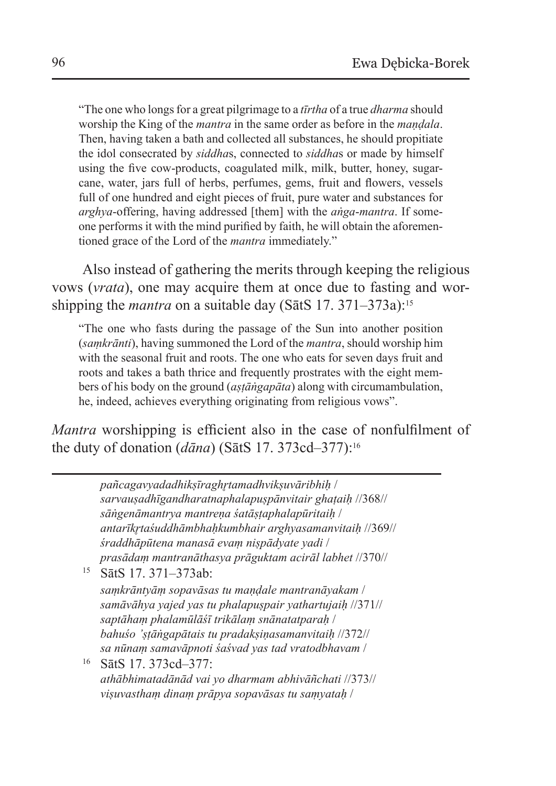"The one who longs for a great pilgrimage to a *tīrtha* of a true *dharma* should worship the King of the *mantra* in the same order as before in the *maṇḍala*. Then, having taken a bath and collected all substances, he should propitiate the idol consecrated by *siddha*s, connected to *siddha*s or made by himself using the five cow-products, coagulated milk, milk, butter, honey, sugarcane, water, jars full of herbs, perfumes, gems, fruit and flowers, vessels full of one hundred and eight pieces of fruit, pure water and substances for *arghya*-offering, having addressed [them] with the *aṅga*-*mantra*. If someone performs it with the mind purified by faith, he will obtain the aforementioned grace of the Lord of the *mantra* immediately."

Also instead of gathering the merits through keeping the religious vows (*vrata*), one may acquire them at once due to fasting and worshipping the *mantra* on a suitable day (SātS 17. 371–373a):<sup>15</sup>

"The one who fasts during the passage of the Sun into another position (*saṃkrānti*), having summoned the Lord of the *mantra*, should worship him with the seasonal fruit and roots. The one who eats for seven days fruit and roots and takes a bath thrice and frequently prostrates with the eight members of his body on the ground (*aṣṭāṅgapāta*) along with circumambulation, he, indeed, achieves everything originating from religious vows".

*Mantra* worshipping is efficient also in the case of nonfulfilment of the duty of donation (*dāna*) (SātS 17. 373cd–377): 16

*pañcagavyadadhikṣīraghr̥tamadhvikṣuvāribhiḥ* / *sarvauṣadhīgandharatnaphalapuṣpānvitair ghaṭaiḥ* //368// *sāṅgenāmantrya mantreṇa śatāṣṭaphalapūritaiḥ* / *antarīkr̥taśuddhāmbhaḥkumbhair arghyasamanvitaiḥ* //369// *śraddhāpūtena manasā evaṃ niṣpādyate yadi* / *prasādaṃ mantranāthasya prāguktam acirāl labhet* //370// <sup>15</sup> SātS 17. 371–373ab: *saṃkrāntyāṃ sopavāsas tu maṇḍale mantranāyakam* / *samāvāhya yajed yas tu phalapuṣpair yathartujaiḥ* //371// *saptāhaṃ phalamūlāśī trikālaṃ snānatatparaḥ* / *bahuśo 'ṣṭāṅgapātais tu pradakṣiṇasamanvitaiḥ* //372// *sa nūnaṃ samavāpnoti śaśvad yas tad vratodbhavam* / <sup>16</sup> SātS 17. 373cd–377: *athābhimatadānād vai yo dharmam abhivāñchati* //373// *viṣuvasthaṃ dinaṃ prāpya sopavāsas tu saṃyataḥ* /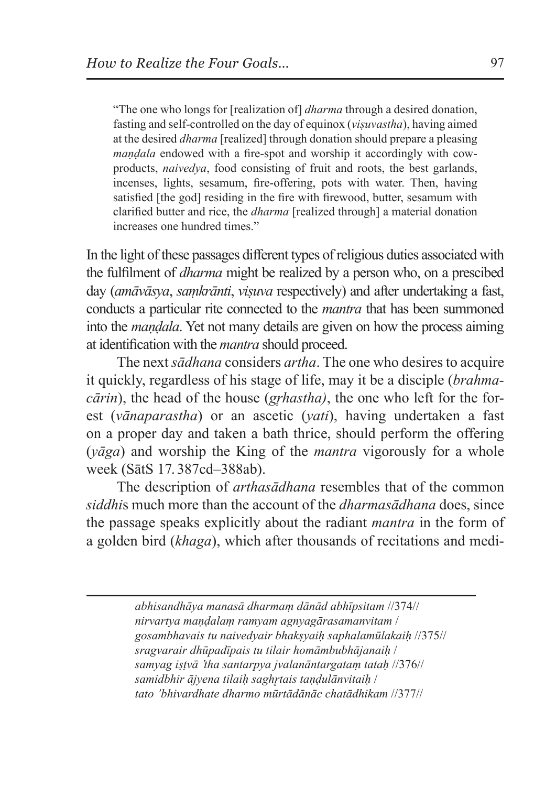"The one who longs for [realization of] *dharma* through a desired donation, fasting and self-controlled on the day of equinox (*viṣuvastha*), having aimed at the desired *dharma* [realized] through donation should prepare a pleasing *maṇḍala* endowed with a fire-spot and worship it accordingly with cowproducts, *naivedya*, food consisting of fruit and roots, the best garlands, incenses, lights, sesamum, fire-offering, pots with water. Then, having satisfied [the god] residing in the fire with firewood, butter, sesamum with clarified butter and rice, the *dharma* [realized through] a material donation increases one hundred times."

In the light of these passages different types of religious duties associated with the fulfilment of *dharma* might be realized by a person who, on a prescibed day (*amāvāsya*, *saṃkrānti*, *viṣuva* respectively) and after undertaking a fast, conducts a particular rite connected to the *mantra* that has been summoned into the *maṇḍala*. Yet not many details are given on how the process aiming at identification with the *mantra* should proceed.

The next *sādhana* considers *artha*. The one who desires to acquire it quickly, regardless of his stage of life, may it be a disciple (*brahmacārin*), the head of the house (*grhastha*), the one who left for the forest (*vānaparastha*) or an ascetic (*yati*), having undertaken a fast on a proper day and taken a bath thrice, should perform the offering (*yāga*) and worship the King of the *mantra* vigorously for a whole week (SātS 17. 387cd–388ab).

The description of *arthasādhana* resembles that of the common *siddhi*s much more than the account of the *dharmasādhana* does, since the passage speaks explicitly about the radiant *mantra* in the form of a golden bird (*khaga*), which after thousands of recitations and medi-

> *abhisandhāya manasā dharmaṃ dānād abhīpsitam* //374// *nirvartya maṇḍalaṃ ramyam agnyagārasamanvitam* / *gosambhavais tu naivedyair bhakṣyaiḥ saphalamūlakaiḥ* //375// *sragvarair dhūpadīpais tu tilair homāmbubhājanaiḥ* / *samyag iṣṭvā 'tha santarpya jvalanāntargataṃ tataḥ* //376// *samidbhir ājyena tilaiḥ saghr̥tais taṇḍulānvitaiḥ* / *tato 'bhivardhate dharmo mūrtādānāc chatādhikam* //377//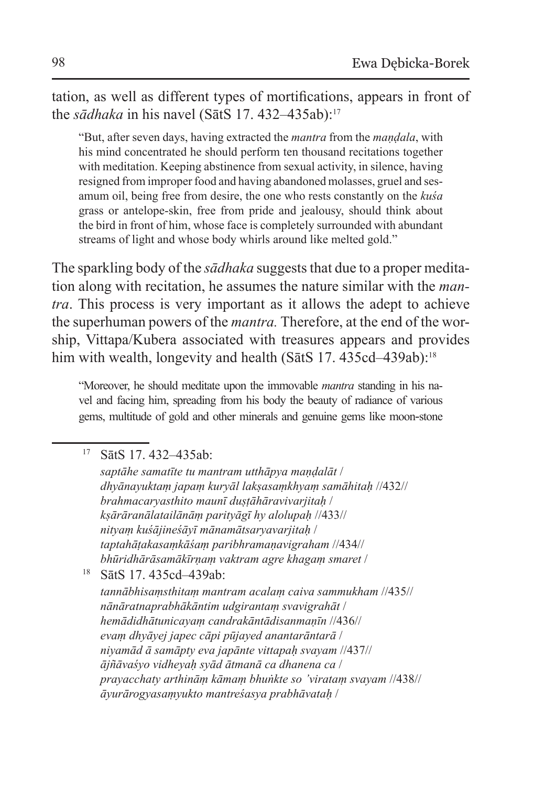tation, as well as different types of mortifications, appears in front of the *sādhaka* in his navel (SātS 17, 432–435ab):<sup>17</sup>

"But, after seven days, having extracted the *mantra* from the *maṇḍala*, with his mind concentrated he should perform ten thousand recitations together with meditation. Keeping abstinence from sexual activity, in silence, having resigned from improper food and having abandoned molasses, gruel and sesamum oil, being free from desire, the one who rests constantly on the *kuśa* grass or antelope-skin, free from pride and jealousy, should think about the bird in front of him, whose face is completely surrounded with abundant streams of light and whose body whirls around like melted gold."

The sparkling body of the *sādhaka* suggests that due to a proper meditation along with recitation, he assumes the nature similar with the *mantra*. This process is very important as it allows the adept to achieve the superhuman powers of the *mantra.* Therefore, at the end of the worship, Vittapa/Kubera associated with treasures appears and provides him with wealth, longevity and health (SatS 17. 435cd–439ab):<sup>18</sup>

"Moreover, he should meditate upon the immovable *mantra* standing in his navel and facing him, spreading from his body the beauty of radiance of various gems, multitude of gold and other minerals and genuine gems like moon-stone

<sup>17</sup> SātS 17. 432–435ab:

*saptāhe samatīte tu mantram utthāpya maṇḍalāt* / *dhyānayuktaṃ japaṃ kuryāl lakṣasaṃkhyaṃ samāhitaḥ* //432// *brahmacaryasthito maunī duṣṭāhāravivarjitaḥ* / *kṣārāranālatailānāṃ parityāgī hy alolupaḥ* //433// *nityaṃ kuśājineśāyī mānamātsaryavarjitaḥ* / *taptahāṭakasaṃkāśaṃ paribhramaṇavigraham* //434// *bhūridhārāsamākīrṇaṃ vaktram agre khagaṃ smaret* /

<sup>18</sup> SātS 17. 435cd–439ab:

*tannābhisaṃsthitaṃ mantram acalaṃ caiva sammukham* //435// *nānāratnaprabhākāntim udgirantaṃ svavigrahāt* / *hemādidhātunicayaṃ candrakāntādisanmaṇīn* //436// *evaṃ dhyāyej japec cāpi pūjayed anantarāntarā* / *niyamād ā samāpty eva japānte vittapaḥ svayam* //437// *ājñāvaśyo vidheyaḥ syād ātmanā ca dhanena ca* / *prayacchaty arthināṃ kāmaṃ bhuṅkte so 'virataṃ svayam* //438// *āyurārogyasaṃyukto mantreśasya prabhāvataḥ* /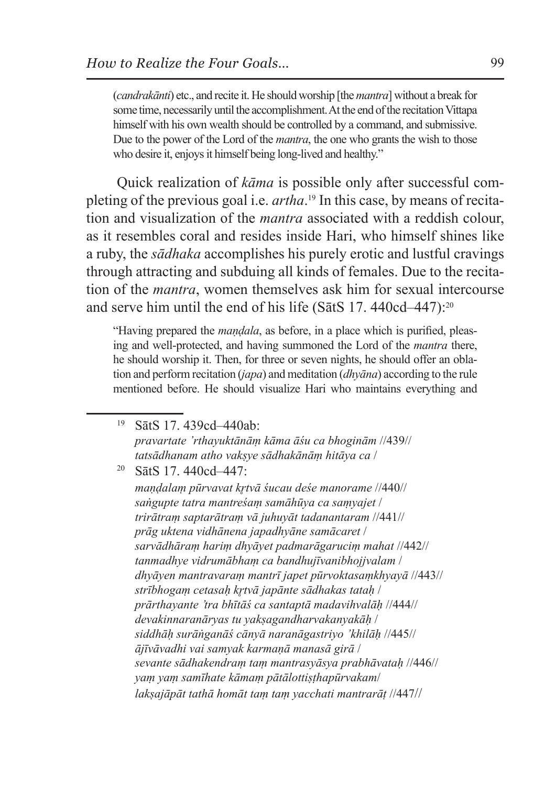(*candrakānti*) etc., and recite it. He should worship [the *mantra*] without a break for some time, necessarily until the accomplishment. At the end of the recitation Vittapa himself with his own wealth should be controlled by a command, and submissive. Due to the power of the Lord of the *mantra*, the one who grants the wish to those who desire it, enjoys it himself being long-lived and healthy."

Quick realization of *kāma* is possible only after successful completing of the previous goal i.e. *artha*. 19 In this case, by means of recitation and visualization of the *mantra* associated with a reddish colour, as it resembles coral and resides inside Hari, who himself shines like a ruby, the *sādhaka* accomplishes his purely erotic and lustful cravings through attracting and subduing all kinds of females. Due to the recitation of the *mantra*, women themselves ask him for sexual intercourse and serve him until the end of his life (SātS 17. 440cd–447):20

"Having prepared the *maṇḍala*, as before, in a place which is purified, pleasing and well-protected, and having summoned the Lord of the *mantra* there, he should worship it. Then, for three or seven nights, he should offer an oblation and perform recitation (*japa*) and meditation (*dhyāna*) according to the rule mentioned before. He should visualize Hari who maintains everything and

- <sup>19</sup> SātS 17. 439cd–440ab: *pravartate 'rthayuktānāṃ kāma āśu ca bhoginām* //439// *tatsādhanam atho vakṣye sādhakānāṃ hitāya ca* /
- <sup>20</sup> SātS 17. 440cd–447:

*maṇḍalaṃ pūrvavat kr̥tvā śucau deśe manorame* //440// *saṅgupte tatra mantreśaṃ samāhūya ca saṃyajet* / *trirātraṃ saptarātraṃ vā juhuyāt tadanantaram* //441// *prāg uktena vidhānena japadhyāne samācaret* / *sarvādhāraṃ hariṃ dhyāyet padmarāgaruciṃ mahat* //442// *tanmadhye vidrumābhaṃ ca bandhujīvanibhojjvalam* / *dhyāyen mantravaraṃ mantrī japet pūrvoktasaṃkhyayā* //443// *strībhogaṃ cetasaḥ kr̥tvā japānte sādhakas tataḥ* / *prārthayante 'tra bhītāś ca santaptā madavihvalāḥ* //444// *devakinnaranāryas tu yakṣagandharvakanyakāḥ* / *siddhāḥ surāṅganāś cānyā naranāgastriyo 'khilāḥ* //445// *ājīvāvadhi vai samyak karmaṇā manasā girā* / *sevante sādhakendraṃ taṃ mantrasyāsya prabhāvataḥ* //446// *yaṃ yaṃ samīhate kāmaṃ pātālottiṣṭhapūrvakam*/ *lakṣajāpāt tathā homāt taṃ taṃ yacchati mantrarāṭ* //447//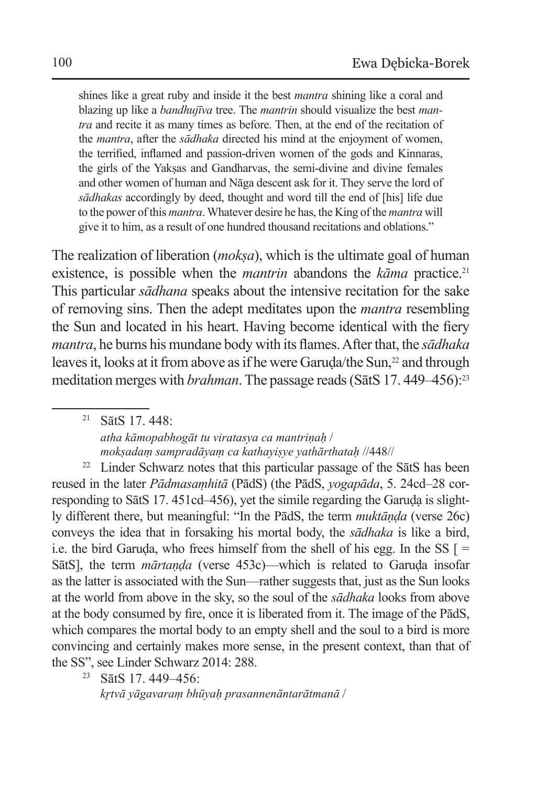shines like a great ruby and inside it the best *mantra* shining like a coral and blazing up like a *bandhujīva* tree. The *mantrin* should visualize the best *mantra* and recite it as many times as before. Then, at the end of the recitation of the *mantra*, after the *sādhaka* directed his mind at the enjoyment of women, the terrified, inflamed and passion-driven women of the gods and Kinnaras, the girls of the Yaksas and Gandharvas, the semi-divine and divine females and other women of human and Nāga descent ask for it. They serve the lord of *sādhakas* accordingly by deed, thought and word till the end of [his] life due to the power of this *mantra*. Whatever desire he has, the King of the *mantra* will give it to him, as a result of one hundred thousand recitations and oblations."

The realization of liberation (*mokṣa*), which is the ultimate goal of human existence, is possible when the *mantrin* abandons the *kāma* practice.<sup>21</sup> This particular *sādhana* speaks about the intensive recitation for the sake of removing sins. Then the adept meditates upon the *mantra* resembling the Sun and located in his heart. Having become identical with the fiery *mantra*, he burns his mundane body with its flames. After that, the *sādhaka* leaves it, looks at it from above as if he were Garuda/the Sun,<sup>22</sup> and through meditation merges with *brahman*. The passage reads (SatS 17.449–456):<sup>23</sup>

<sup>21</sup> SātS 17. 448: *atha kāmopabhogāt tu viratasya ca mantriṇaḥ* / *mokṣadaṃ sampradāyaṃ ca kathayiṣye yathārthataḥ* //448//

<sup>22</sup> Linder Schwarz notes that this particular passage of the SatS has been reused in the later *Pādmasaṃhitā* (PādS) (the PādS, *yogapāda*, 5. 24cd–28 corresponding to SātS 17. 451cd–456), yet the simile regarding the Garuda is slightly different there, but meaningful: "In the PādS, the term *muktāṇḍa* (verse 26c) conveys the idea that in forsaking his mortal body, the *sādhaka* is like a bird, i.e. the bird Garuda, who frees himself from the shell of his egg. In the SS  $\Gamma$  = SātS], the term *mārtanda* (verse 453c)—which is related to Garuda insofar as the latter is associated with the Sun—rather suggests that, just as the Sun looks at the world from above in the sky, so the soul of the *sādhaka* looks from above at the body consumed by fire, once it is liberated from it. The image of the PādS, which compares the mortal body to an empty shell and the soul to a bird is more convincing and certainly makes more sense, in the present context, than that of the SS", see Linder Schwarz 2014: 288.

<sup>23</sup> SātS 17. 449–456:

*kr̥tvā yāgavaraṃ bhūyaḥ prasannenāntarātmanā* /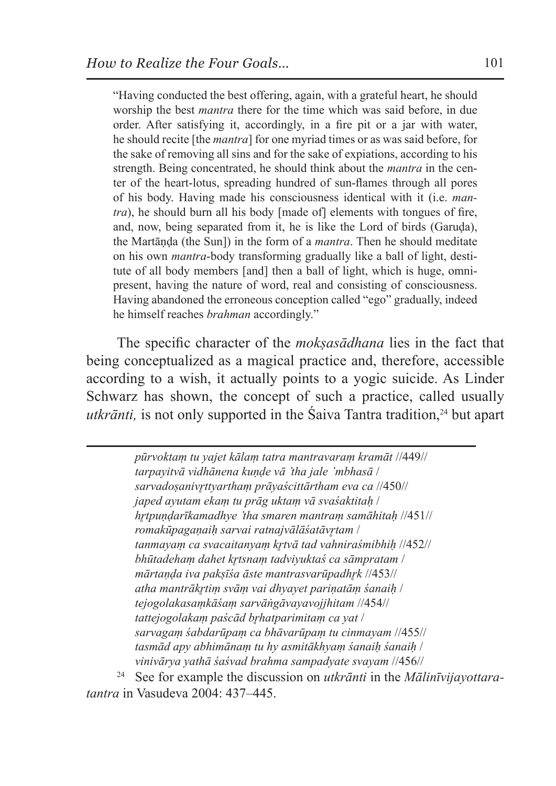"Having conducted the best offering, again, with a grateful heart, he should worship the best *mantra* there for the time which was said before, in due order. After satisfying it, accordingly, in a fire pit or a jar with water, he should recite [the *mantra*] for one myriad times or as was said before, for the sake of removing all sins and for the sake of expiations, according to his strength. Being concentrated, he should think about the *mantra* in the center of the heart-lotus, spreading hundred of sun-flames through all pores of his body. Having made his consciousness identical with it (i.e. *mantra*), he should burn all his body [made of] elements with tongues of fire, and, now, being separated from it, he is like the Lord of birds (Garuda), the Martāṇḍa (the Sun]) in the form of a *mantra*. Then he should meditate on his own *mantra*-body transforming gradually like a ball of light, destitute of all body members [and] then a ball of light, which is huge, omnipresent, having the nature of word, real and consisting of consciousness. Having abandoned the erroneous conception called "ego" gradually, indeed he himself reaches *brahman* accordingly."

The specific character of the *mokṣasādhana* lies in the fact that being conceptualized as a magical practice and, therefore, accessible according to a wish, it actually points to a yogic suicide. As Linder Schwarz has shown, the concept of such a practice, called usually *utkrānti*, is not only supported in the Śaiva Tantra tradition.<sup>24</sup> but apart

> *pūrvoktaṃ tu yajet kālaṃ tatra mantravaraṃ kramāt* //449// *tarpayitvā vidhānena kuṇḍe vā 'tha jale 'mbhasā* / *sarvadoṣanivr̥ttyarthaṃ prāyaścittārtham eva ca* //450// *japed ayutam ekaṃ tu prāg uktaṃ vā svaśaktitaḥ* / *hr̥tpuṇḍarīkamadhye 'tha smaren mantraṃ samāhitaḥ* //451// *romakūpagaṇaiḥ sarvai ratnajvālāśatāvr̥tam* / *tanmayaṃ ca svacaitanyaṃ kr̥tvā tad vahniraśmibhiḥ* //452// *bhūtadehaṃ dahet kr̥tsnaṃ tadviyuktaś ca sāmpratam* / *mārtaṇḍa iva pakṣīśa āste mantrasvarūpadhr̥k* //453// *atha mantrākr̥tiṃ svāṃ vai dhyayet pariṇatāṃ śanaiḥ* / *tejogolakasaṃkāśaṃ sarvāṅgāvayavojjhitam* //454// *tattejogolakaṃ paścād br̥hatparimitaṃ ca yat* / *sarvagaṃ śabdarūpaṃ ca bhāvarūpaṃ tu cinmayam* //455// *tasmād apy abhimānaṃ tu hy asmitākhyaṃ śanaiḥ śanaiḥ* / *vinivārya yathā śaśvad brahma sampadyate svayam* //456//

<sup>24</sup> See for example the discussion on *utkrānti* in the *Mālinīvijayottaratantra* in Vasudeva 2004: 437–445.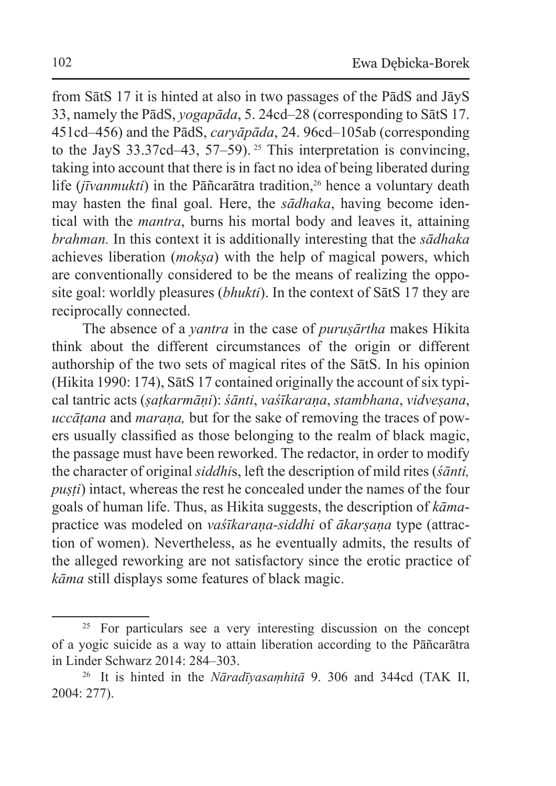from SātS 17 it is hinted at also in two passages of the PādS and JāyS 33, namely the PādS, *yogapāda*, 5. 24cd–28 (corresponding to SātS 17. 451cd–456) and the PādS, *caryāpāda*, 24. 96cd–105ab (corresponding to the JayS 33.37cd–43, 57–59). 25 This interpretation is convincing, taking into account that there is in fact no idea of being liberated during life (*jīvanmukti*) in the Pāñcarātra tradition,<sup>26</sup> hence a voluntary death may hasten the final goal. Here, the *sādhaka*, having become identical with the *mantra*, burns his mortal body and leaves it, attaining *brahman.* In this context it is additionally interesting that the *sādhaka* achieves liberation (*mokṣa*) with the help of magical powers, which are conventionally considered to be the means of realizing the opposite goal: worldly pleasures (*bhukti*). In the context of SātS 17 they are reciprocally connected.

The absence of a *yantra* in the case of *puruṣārtha* makes Hikita think about the different circumstances of the origin or different authorship of the two sets of magical rites of the SātS. In his opinion (Hikita 1990: 174), SātS 17 contained originally the account of six typical tantric acts (*ṣaṭkarmāṇi*): *śānti*, *vaśīkaraṇa*, *stambhana*, *vidveṣana*, *uccāṭana* and *maraṇa,* but for the sake of removing the traces of powers usually classified as those belonging to the realm of black magic, the passage must have been reworked. The redactor, in order to modify the character of original *siddhi*s, left the description of mild rites (*śānti, pusti*) intact, whereas the rest he concealed under the names of the four goals of human life. Thus, as Hikita suggests, the description of *kāma*practice was modeled on *vaśīkaraṇa-siddhi* of *ākarṣaṇa* type (attraction of women). Nevertheless, as he eventually admits, the results of the alleged reworking are not satisfactory since the erotic practice of *kāma* still displays some features of black magic.

<sup>&</sup>lt;sup>25</sup> For particulars see a very interesting discussion on the concept of a yogic suicide as a way to attain liberation according to the Pāñcarātra in Linder Schwarz 2014: 284–303.

<sup>26</sup> It is hinted in the *Nāradīyasaṃhitā* 9. 306 and 344cd (TAK II, 2004: 277).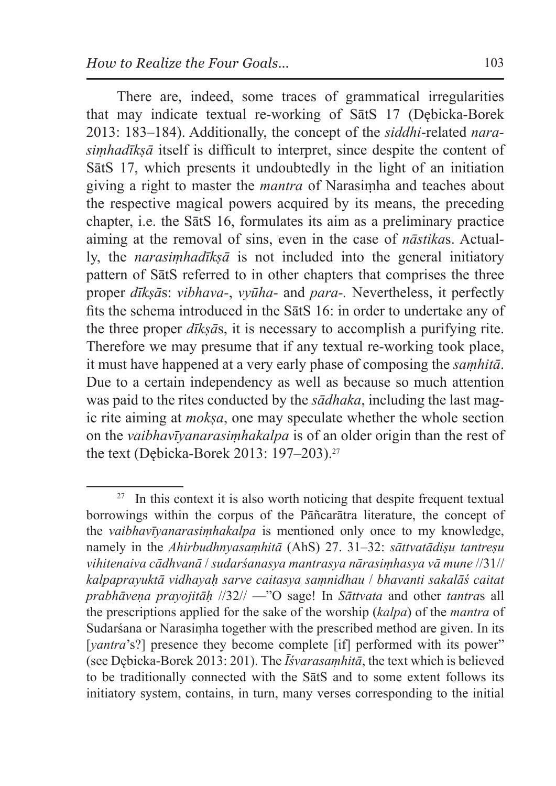There are, indeed, some traces of grammatical irregularities that may indicate textual re-working of SātS 17 (Dębicka-Borek 2013: 183–184). Additionally, the concept of the *siddhi*-related *narasiṃhadīkṣā* itself is difficult to interpret, since despite the content of SātS 17, which presents it undoubtedly in the light of an initiation giving a right to master the *mantra* of Narasiṃha and teaches about the respective magical powers acquired by its means, the preceding chapter, i.e. the SātS 16, formulates its aim as a preliminary practice aiming at the removal of sins, even in the case of *nāstika*s. Actually, the *narasiṃhadīkṣā* is not included into the general initiatory pattern of SātS referred to in other chapters that comprises the three proper *dīkṣā*s: *vibhava-*, *vyūha-* and *para-.* Nevertheless, it perfectly fits the schema introduced in the SātS 16: in order to undertake any of the three proper *dīkṣā*s, it is necessary to accomplish a purifying rite. Therefore we may presume that if any textual re-working took place, it must have happened at a very early phase of composing the *saṃhitā*. Due to a certain independency as well as because so much attention was paid to the rites conducted by the *sādhaka*, including the last magic rite aiming at *mokṣa*, one may speculate whether the whole section on the *vaibhavīyanarasiṃhakalpa* is of an older origin than the rest of the text (Dębicka-Borek 2013: 197–203).27

 $27$  In this context it is also worth noticing that despite frequent textual borrowings within the corpus of the Pāñcarātra literature, the concept of the *vaibhavīyanarasiṃhakalpa* is mentioned only once to my knowledge, namely in the *Ahirbudhnyasaṃhitā* (AhS) 27. 31–32: *sāttvatādiṣu tantreṣu vihitenaiva cādhvanā* / *sudarśanasya mantrasya nārasiṃhasya vā mune* //31// *kalpaprayuktā vidhayaḥ sarve caitasya saṃnidhau* / *bhavanti sakalāś caitat prabhāveṇa prayojitāḥ* //32// —"O sage! In *Sāttvata* and other *tantra*s all the prescriptions applied for the sake of the worship (*kalpa*) of the *mantra* of Sudarśana or Narasiṃha together with the prescribed method are given. In its [*vantra*'s?] presence they become complete [if] performed with its power" (see Dębicka-Borek 2013: 201). The *Īśvarasaṃhitā*, the text which is believed to be traditionally connected with the SātS and to some extent follows its initiatory system, contains, in turn, many verses corresponding to the initial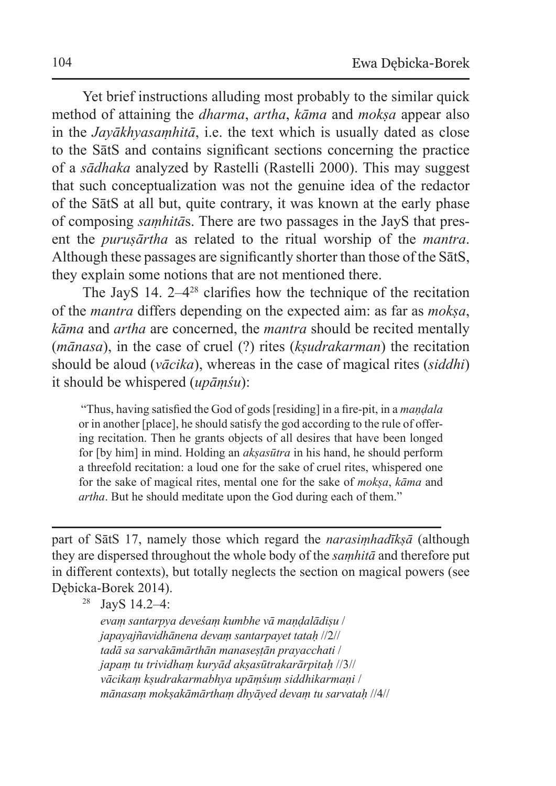Yet brief instructions alluding most probably to the similar quick method of attaining the *dharma*, *artha*, *kāma* and *mokṣa* appear also in the *Jayākhyasaṃhitā*, i.e. the text which is usually dated as close to the SātS and contains significant sections concerning the practice of a *sādhaka* analyzed by Rastelli (Rastelli 2000). This may suggest that such conceptualization was not the genuine idea of the redactor of the SātS at all but, quite contrary, it was known at the early phase of composing *saṃhitā*s. There are two passages in the JayS that present the *puruṣārtha* as related to the ritual worship of the *mantra*. Although these passages are significantly shorter than those of the SātS, they explain some notions that are not mentioned there.

The JayS 14.  $2-4^{28}$  clarifies how the technique of the recitation of the *mantra* differs depending on the expected aim: as far as *mokṣa*, *kāma* and *artha* are concerned, the *mantra* should be recited mentally (*mānasa*), in the case of cruel (?) rites (*kṣudrakarman*) the recitation should be aloud (*vācika*), whereas in the case of magical rites (*siddhi*) it should be whispered (*upāṃśu*):

 "Thus, having satisfied the God of gods [residing] in a fire-pit, in a *maṇḍala*  or in another [place], he should satisfy the god according to the rule of offering recitation. Then he grants objects of all desires that have been longed for [by him] in mind. Holding an *akṣasūtra* in his hand, he should perform a threefold recitation: a loud one for the sake of cruel rites, whispered one for the sake of magical rites, mental one for the sake of *mokṣa*, *kāma* and *artha*. But he should meditate upon the God during each of them."

part of SātS 17, namely those which regard the *narasiṃhadīkṣā* (although they are dispersed throughout the whole body of the *saṃhitā* and therefore put in different contexts), but totally neglects the section on magical powers (see Dębicka-Borek 2014).

<sup>28</sup> JayS 14.2–4:

*evaṃ santarpya deveśaṃ kumbhe vā maṇḍalādiṣu* / *japayajñavidhānena devaṃ santarpayet tataḥ* //2// *tadā sa sarvakāmārthān manaseṣṭān prayacchati* / *japaṃ tu trividhaṃ kuryād akṣasūtrakarārpitaḥ* //3// *vācikaṃ kṣudrakarmabhya upāṃśuṃ siddhikarmaṇi* / *mānasaṃ mokṣakāmārthaṃ dhyāyed devaṃ tu sarvataḥ* //4//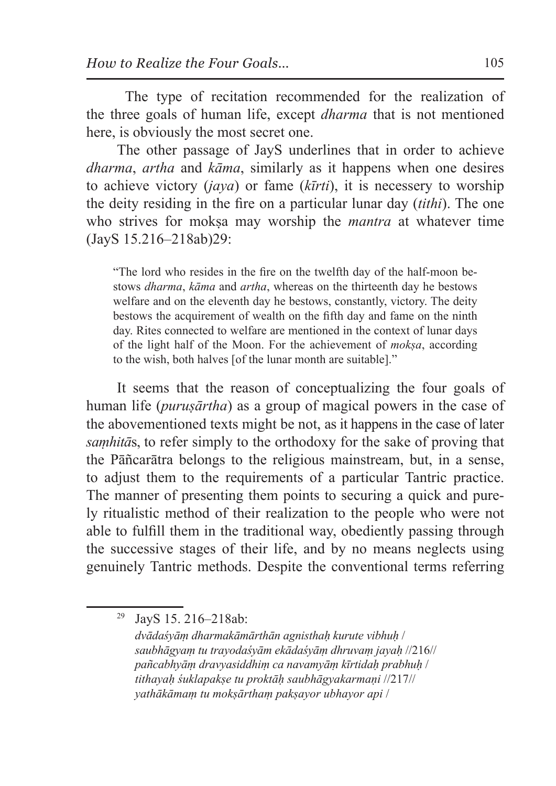The type of recitation recommended for the realization of the three goals of human life, except *dharma* that is not mentioned here, is obviously the most secret one.

The other passage of JayS underlines that in order to achieve *dharma*, *artha* and *kāma*, similarly as it happens when one desires to achieve victory (*jaya*) or fame (*kīrti*), it is necessery to worship the deity residing in the fire on a particular lunar day (*tithi*). The one who strives for moksa may worship the *mantra* at whatever time (JayS 15.216–218ab)29:

"The lord who resides in the fire on the twelfth day of the half-moon bestows *dharma*, *kāma* and *artha*, whereas on the thirteenth day he bestows welfare and on the eleventh day he bestows, constantly, victory. The deity bestows the acquirement of wealth on the fifth day and fame on the ninth day. Rites connected to welfare are mentioned in the context of lunar days of the light half of the Moon. For the achievement of *mokṣa*, according to the wish, both halves [of the lunar month are suitable]."

It seems that the reason of conceptualizing the four goals of human life (*puruṣārtha*) as a group of magical powers in the case of the abovementioned texts might be not, as it happens in the case of later *saṃhitā*s, to refer simply to the orthodoxy for the sake of proving that the Pāñcarātra belongs to the religious mainstream, but, in a sense, to adjust them to the requirements of a particular Tantric practice. The manner of presenting them points to securing a quick and purely ritualistic method of their realization to the people who were not able to fulfill them in the traditional way, obediently passing through the successive stages of their life, and by no means neglects using genuinely Tantric methods. Despite the conventional terms referring

<sup>29</sup> JayS 15. 216–218ab:

*dvādaśyāṃ dharmakāmārthān agnisthaḥ kurute vibhuḥ* / *saubhāgyaṃ tu trayodaśyām ekādaśyāṃ dhruvaṃ jayaḥ* //216// *pañcabhyāṃ dravyasiddhiṃ ca navamyāṃ kīrtidaḥ prabhuḥ* / *tithayaḥ śuklapakṣe tu proktāḥ saubhāgyakarmaṇi* //217// *yathākāmaṃ tu mokṣārthaṃ pakṣayor ubhayor api* /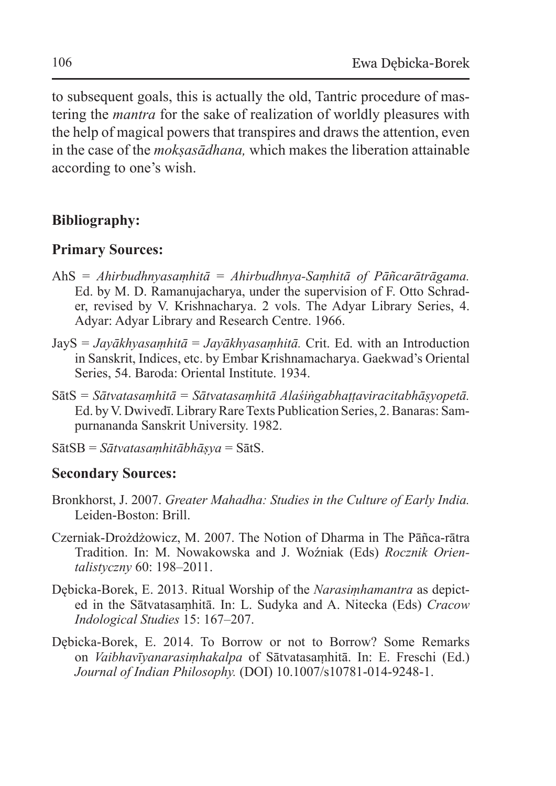to subsequent goals, this is actually the old, Tantric procedure of mastering the *mantra* for the sake of realization of worldly pleasures with the help of magical powers that transpires and draws the attention, even in the case of the *mokṣasādhana,* which makes the liberation attainable according to one's wish.

# **Bibliography:**

#### **Primary Sources:**

- AhS = *Ahirbudhnyasaṃhitā* = *Ahirbudhnya-Saṃhitā of Pāñcarātrāgama.*  Ed. by M. D. Ramanujacharya, under the supervision of F. Otto Schrader, revised by V. Krishnacharya. 2 vols. The Adyar Library Series, 4. Adyar: Adyar Library and Research Centre. 1966.
- JayS = *Jayākhyasaṃhitā* = *Jayākhyasaṃhitā.* Crit. Ed. with an Introduction in Sanskrit, Indices, etc. by Embar Krishnamacharya. Gaekwad's Oriental Series, 54. Baroda: Oriental Institute. 1934.
- SātS = *Sātvatasaṃhitā* = *Sātvatasaṃhitā Alaśiṅgabhaṭṭaviracitabhāṣyopetā.*  Ed. by V. Dwivedī. Library Rare Texts Publication Series, 2. Banaras: Sampurnananda Sanskrit University. 1982.
- SātSB = *Sātvatasaṃhitābhāṣya* = SātS.

## **Secondary Sources:**

- Bronkhorst, J. 2007. *Greater Mahadha: Studies in the Culture of Early India.* Leiden-Boston: Brill.
- Czerniak-Drożdżowicz, M. 2007. The Notion of Dharma in The Pāñca-rātra Tradition. In: M. Nowakowska and J. Woźniak (Eds) *Rocznik Orientalistyczny* 60: 198–2011.
- Dębicka-Borek, E. 2013. Ritual Worship of the *Narasiṃhamantra* as depicted in the Sātvatasaṃhitā. In: L. Sudyka and A. Nitecka (Eds) *Cracow Indological Studies* 15: 167–207.
- Dębicka-Borek, E. 2014. To Borrow or not to Borrow? Some Remarks on *Vaibhavīyanarasiṃhakalpa* of Sātvatasaṃhitā. In: E. Freschi (Ed.) *Journal of Indian Philosophy.* (DOI) 10.1007/s10781-014-9248-1.